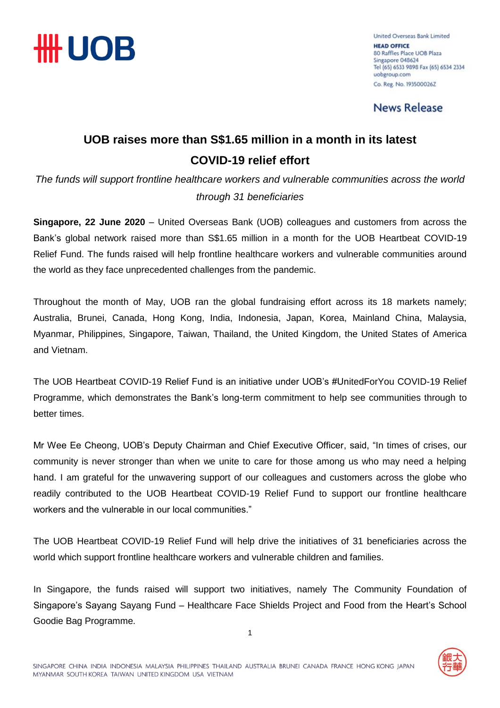

United Overseas Bank Limited **HEAD OFFICE** 80 Raffles Place UOB Plaza Singapore 048624 Tel (65) 6533 9898 Fax (65) 6534 2334 uobgroup.com Co. Reg. No. 193500026Z

**News Release** 

### **UOB raises more than S\$1.65 million in a month in its latest COVID-19 relief effort**

*The funds will support frontline healthcare workers and vulnerable communities across the world through 31 beneficiaries*

**Singapore, 22 June 2020** – United Overseas Bank (UOB) colleagues and customers from across the Bank's global network raised more than S\$1.65 million in a month for the UOB Heartbeat COVID-19 Relief Fund. The funds raised will help frontline healthcare workers and vulnerable communities around the world as they face unprecedented challenges from the pandemic.

Throughout the month of May, UOB ran the global fundraising effort across its 18 markets namely; Australia, Brunei, Canada, Hong Kong, India, Indonesia, Japan, Korea, Mainland China, Malaysia, Myanmar, Philippines, Singapore, Taiwan, Thailand, the United Kingdom, the United States of America and Vietnam.

The UOB Heartbeat COVID-19 Relief Fund is an initiative under UOB's #UnitedForYou COVID-19 Relief Programme, which demonstrates the Bank's long-term commitment to help see communities through to better times.

Mr Wee Ee Cheong, UOB's Deputy Chairman and Chief Executive Officer, said, "In times of crises, our community is never stronger than when we unite to care for those among us who may need a helping hand. I am grateful for the unwavering support of our colleagues and customers across the globe who readily contributed to the UOB Heartbeat COVID-19 Relief Fund to support our frontline healthcare workers and the vulnerable in our local communities."

The UOB Heartbeat COVID-19 Relief Fund will help drive the initiatives of 31 beneficiaries across the world which support frontline healthcare workers and vulnerable children and families.

In Singapore, the funds raised will support two initiatives, namely The Community Foundation of Singapore's Sayang Sayang Fund – Healthcare Face Shields Project and Food from the Heart's School Goodie Bag Programme.

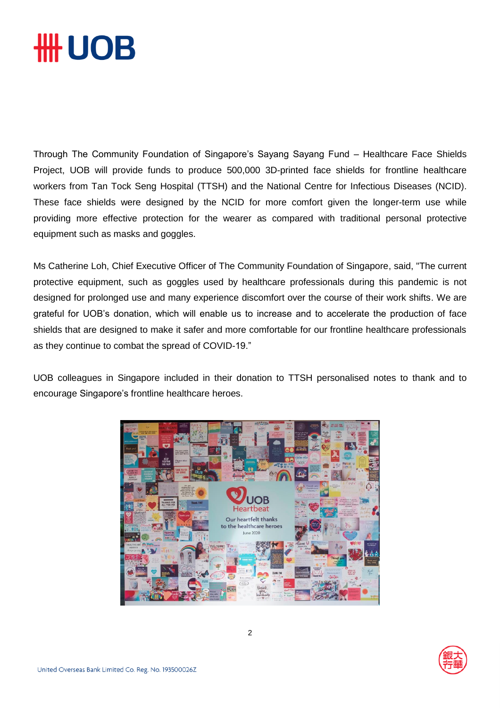# **\HH UOB**

Through The Community Foundation of Singapore's Sayang Sayang Fund – Healthcare Face Shields Project, UOB will provide funds to produce 500,000 3D-printed face shields for frontline healthcare workers from Tan Tock Seng Hospital (TTSH) and the National Centre for Infectious Diseases (NCID). These face shields were designed by the NCID for more comfort given the longer-term use while providing more effective protection for the wearer as compared with traditional personal protective equipment such as masks and goggles.

Ms Catherine Loh, Chief Executive Officer of The Community Foundation of Singapore, said, "The current protective equipment, such as goggles used by healthcare professionals during this pandemic is not designed for prolonged use and many experience discomfort over the course of their work shifts. We are grateful for UOB's donation, which will enable us to increase and to accelerate the production of face shields that are designed to make it safer and more comfortable for our frontline healthcare professionals as they continue to combat the spread of COVID-19."

UOB colleagues in Singapore included in their donation to TTSH personalised notes to thank and to encourage Singapore's frontline healthcare heroes.



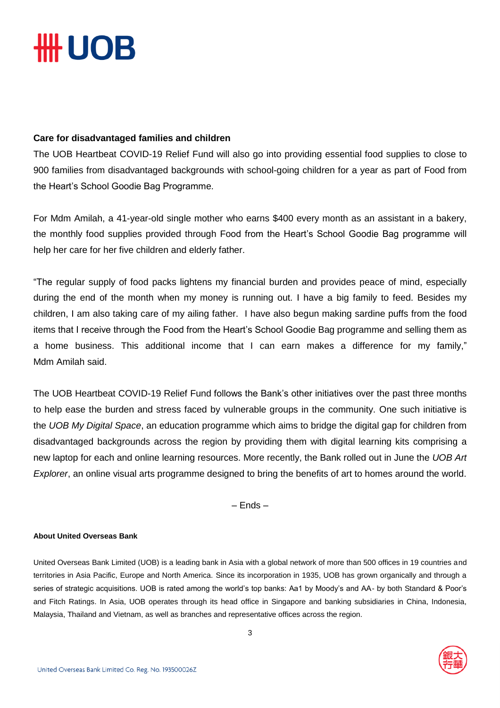# **HH UOB**

### **Care for disadvantaged families and children**

The UOB Heartbeat COVID-19 Relief Fund will also go into providing essential food supplies to close to 900 families from disadvantaged backgrounds with school-going children for a year as part of Food from the Heart's School Goodie Bag Programme.

For Mdm Amilah, a 41-year-old single mother who earns \$400 every month as an assistant in a bakery, the monthly food supplies provided through Food from the Heart's School Goodie Bag programme will help her care for her five children and elderly father.

"The regular supply of food packs lightens my financial burden and provides peace of mind, especially during the end of the month when my money is running out. I have a big family to feed. Besides my children, I am also taking care of my ailing father. I have also begun making sardine puffs from the food items that I receive through the Food from the Heart's School Goodie Bag programme and selling them as a home business. This additional income that I can earn makes a difference for my family," Mdm Amilah said.

The UOB Heartbeat COVID-19 Relief Fund follows the Bank's other initiatives over the past three months to help ease the burden and stress faced by vulnerable groups in the community. One such initiative is the *UOB My Digital Space*, an education programme which aims to bridge the digital gap for children from disadvantaged backgrounds across the region by providing them with digital learning kits comprising a new laptop for each and online learning resources. More recently, the Bank rolled out in June the *UOB Art Explorer*, an online visual arts programme designed to bring the benefits of art to homes around the world.

– Ends –

### **About United Overseas Bank**

United Overseas Bank Limited (UOB) is a leading bank in Asia with a global network of more than 500 offices in 19 countries and territories in Asia Pacific, Europe and North America. Since its incorporation in 1935, UOB has grown organically and through a series of strategic acquisitions. UOB is rated among the world's top banks: Aa1 by Moody's and AA- by both Standard & Poor's and Fitch Ratings. In Asia, UOB operates through its head office in Singapore and banking subsidiaries in China, Indonesia, Malaysia, Thailand and Vietnam, as well as branches and representative offices across the region.